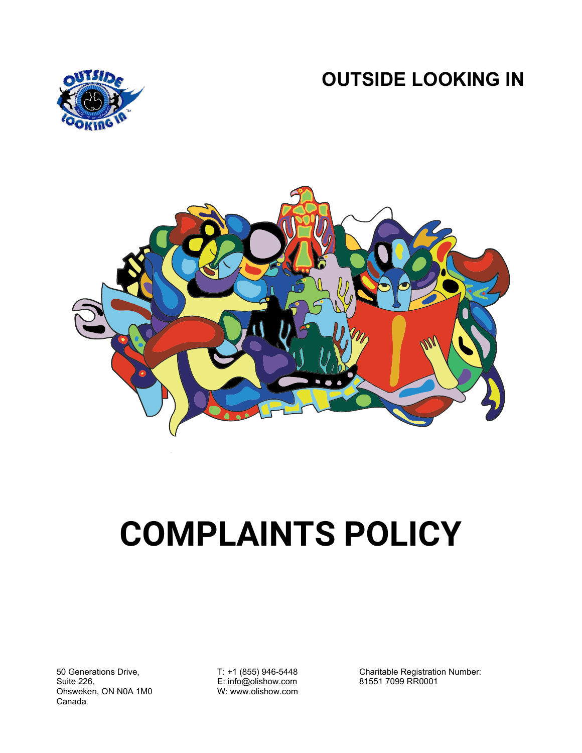**OUTSIDE LOOKING IN**





# **COMPLAINTS POLICY**

50 Generations Drive, Suite 226, Ohsweken, ON N0A 1M0 Canada

T: +1 (855) 946-5448 E[: info@olishow.com](mailto:info@olishow.com) W: www.olishow.com

Charitable Registration Number: 81551 7099 RR0001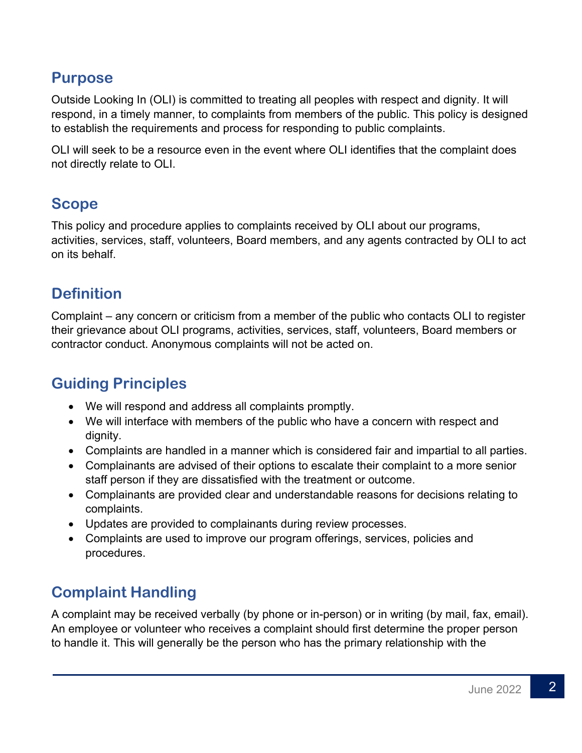#### **Purpose**

Outside Looking In (OLI) is committed to treating all peoples with respect and dignity. It will respond, in a timely manner, to complaints from members of the public. This policy is designed to establish the requirements and process for responding to public complaints.

OLI will seek to be a resource even in the event where OLI identifies that the complaint does not directly relate to OLI.

### **Scope**

This policy and procedure applies to complaints received by OLI about our programs, activities, services, staff, volunteers, Board members, and any agents contracted by OLI to act on its behalf.

## **Definition**

Complaint – any concern or criticism from a member of the public who contacts OLI to register their grievance about OLI programs, activities, services, staff, volunteers, Board members or contractor conduct. Anonymous complaints will not be acted on.

# **Guiding Principles**

- We will respond and address all complaints promptly.
- We will interface with members of the public who have a concern with respect and dignity.
- Complaints are handled in a manner which is considered fair and impartial to all parties.
- Complainants are advised of their options to escalate their complaint to a more senior staff person if they are dissatisfied with the treatment or outcome.
- Complainants are provided clear and understandable reasons for decisions relating to complaints.
- Updates are provided to complainants during review processes.
- Complaints are used to improve our program offerings, services, policies and procedures.

# **Complaint Handling**

A complaint may be received verbally (by phone or in-person) or in writing (by mail, fax, email). An employee or volunteer who receives a complaint should first determine the proper person to handle it. This will generally be the person who has the primary relationship with the